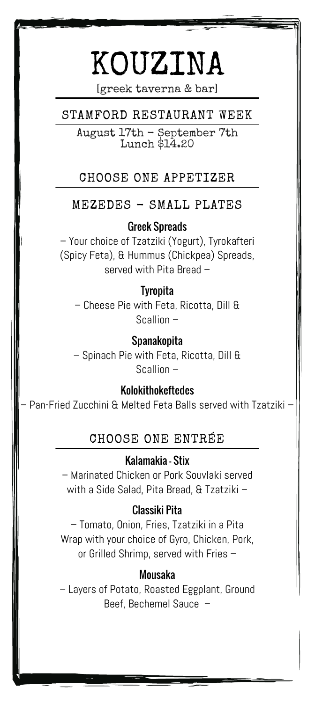# KOUZINA

[greek taverna & bar]

## STAMFORD RESTAURANT WEEK

August 17th - September 7th Lunch \$14.20

## CHOOSE ONE APPETIZER

## MEZEDES - SMALL PLATES

Greek Spreads

– Your choice of Tzatziki (Yogurt), Tyrokafteri (Spicy Feta), & Hummus (Chickpea) Spreads, served with Pita Bread –

#### **Tyropita**

– Cheese Pie with Feta, Ricotta, Dill & Scallion –

Spanakopita – Spinach Pie with Feta, Ricotta, Dill & Scallion –

Kolokithokeftedes

– Pan-Fried Zucchini & Melted Feta Balls served with Tzatziki –

## CHOOSE ONE ENTRÉE

#### Kalamakia - Stix

– Marinated Chicken or Pork Souvlaki served with a Side Salad, Pita Bread, & Tzatziki –

#### Classiki Pita

– Tomato, Onion, Fries, Tzatziki in a Pita Wrap with your choice of Gyro, Chicken, Pork, or Grilled Shrimp, served with Fries –

#### Mousaka

– Layers of Potato, Roasted Eggplant, Ground Beef, Bechemel Sauce –